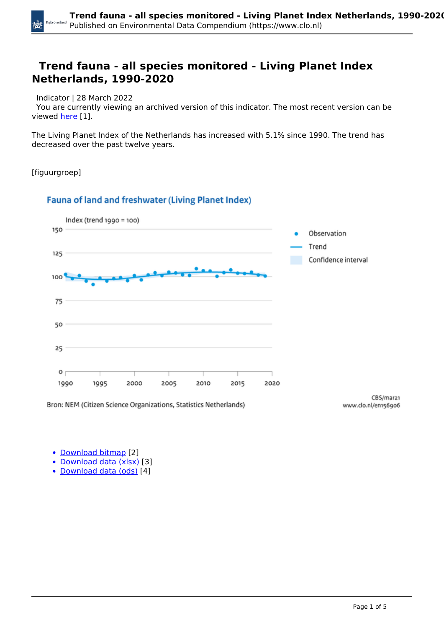#### **Trend fauna - all species monitored - Living Planet Index Netherlands, 1990-2020**

Indicator | 28 March 2022

 You are currently viewing an archived version of this indicator. The most recent version can be viewed [here](https://www.clo.nl/en/indicatoren/en1569) [1].

The Living Planet Index of the Netherlands has increased with 5.1% since 1990. The trend has decreased over the past twelve years.

[figuurgroep]

#### **Fauna of land and freshwater (Living Planet Index)**

Bron: NEM (Citizen Science Organizations, Statistics Netherlands)



www.clo.nl/en156906

• [Download bitmap](https://www.clo.nl/sites/default/files/infographics/1569_001g_clo_07_en.png) [2]

- [Download data \(xlsx\)](https://www.clo.nl/sites/default/files/datasets/c-1569-001g-clo-07-en.xlsx) [3]
- [Download data \(ods\)](https://www.clo.nl/sites/default/files/datasets/c-1569-001g-clo-07-en.ods) [4]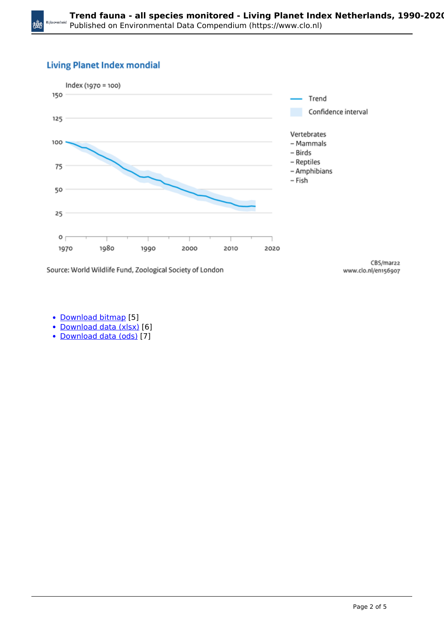#### **Living Planet Index mondial**

×ŏ



Source: World Wildlife Fund, Zoological Society of London

CBS/mar22 www.clo.nl/en156907

- [Download bitmap](https://www.clo.nl/sites/default/files/infographics/1569_002g_clo_07_en.png) [5]
- [Download data \(xlsx\)](https://www.clo.nl/sites/default/files/datasets/c-1569-002g-clo-07-en.xlsx) [6]
- [Download data \(ods\)](https://www.clo.nl/sites/default/files/datasets/c-1569-002g-clo-07-en.ods) [7]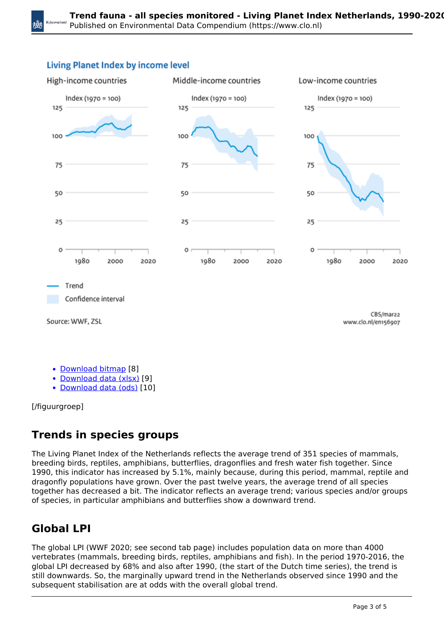



• [Download bitmap](https://www.clo.nl/sites/default/files/infographics/1569_007g_clo_07_en.png) [8]

• [Download data \(xlsx\)](https://www.clo.nl/sites/default/files/datasets/c-1569-007g-clo-07-en.xlsx) [9]

[Download data \(ods\)](https://www.clo.nl/sites/default/files/datasets/c-1569-007g-clo-07-en.ods) [10]

[/figuurgroep]

## **Trends in species groups**

The Living Planet Index of the Netherlands reflects the average trend of 351 species of mammals, breeding birds, reptiles, amphibians, butterflies, dragonflies and fresh water fish together. Since 1990, this indicator has increased by 5.1%, mainly because, during this period, mammal, reptile and dragonfly populations have grown. Over the past twelve years, the average trend of all species together has decreased a bit. The indicator reflects an average trend; various species and/or groups of species, in particular amphibians and butterflies show a downward trend.

# **Global LPI**

The global LPI (WWF 2020; see second tab page) includes population data on more than 4000 vertebrates (mammals, breeding birds, reptiles, amphibians and fish). In the period 1970-2016, the global LPI decreased by 68% and also after 1990, (the start of the Dutch time series), the trend is still downwards. So, the marginally upward trend in the Netherlands observed since 1990 and the subsequent stabilisation are at odds with the overall global trend.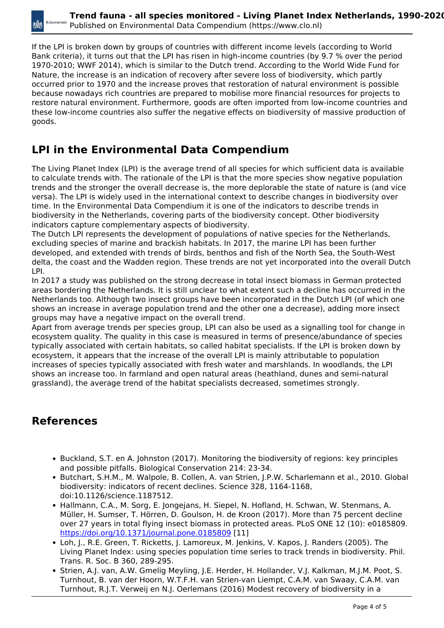If the LPI is broken down by groups of countries with different income levels (according to World Bank criteria), it turns out that the LPI has risen in high-income countries (by 9.7 % over the period 1970-2010; WWF 2014), which is similar to the Dutch trend. According to the World Wide Fund for Nature, the increase is an indication of recovery after severe loss of biodiversity, which partly occurred prior to 1970 and the increase proves that restoration of natural environment is possible because nowadays rich countries are prepared to mobilise more financial resources for projects to restore natural environment. Furthermore, goods are often imported from low-income countries and these low-income countries also suffer the negative effects on biodiversity of massive production of goods.

## **LPI in the Environmental Data Compendium**

The Living Planet Index (LPI) is the average trend of all species for which sufficient data is available to calculate trends with. The rationale of the LPI is that the more species show negative population trends and the stronger the overall decrease is, the more deplorable the state of nature is (and vice versa). The LPI is widely used in the international context to describe changes in biodiversity over time. In the Environmental Data Compendium it is one of the indicators to describe trends in biodiversity in the Netherlands, covering parts of the biodiversity concept. Other biodiversity indicators capture complementary aspects of biodiversity.

The Dutch LPI represents the development of populations of native species for the Netherlands, excluding species of marine and brackish habitats. In 2017, the marine LPI has been further developed, and extended with trends of birds, benthos and fish of the North Sea, the South-West delta, the coast and the Wadden region. These trends are not yet incorporated into the overall Dutch LPI.

In 2017 a study was published on the strong decrease in total insect biomass in German protected areas bordering the Netherlands. It is still unclear to what extent such a decline has occurred in the Netherlands too. Although two insect groups have been incorporated in the Dutch LPI (of which one shows an increase in average population trend and the other one a decrease), adding more insect groups may have a negative impact on the overall trend.

Apart from average trends per species group, LPI can also be used as a signalling tool for change in ecosystem quality. The quality in this case is measured in terms of presence/abundance of species typically associated with certain habitats, so called habitat specialists. If the LPI is broken down by ecosystem, it appears that the increase of the overall LPI is mainly attributable to population increases of species typically associated with fresh water and marshlands. In woodlands, the LPI shows an increase too. In farmland and open natural areas (heathland, dunes and semi-natural grassland), the average trend of the habitat specialists decreased, sometimes strongly.

## **References**

- **Buckland, S.T. en A. Johnston (2017). Monitoring the biodiversity of regions: key principles** and possible pitfalls. Biological Conservation 214: 23-34.
- Butchart, S.H.M., M. Walpole, B. Collen, A. van Strien, J.P.W. Scharlemann et al., 2010. Global biodiversity: indicators of recent declines. Science 328, 1164-1168, doi:10.1126/science.1187512.
- Hallmann, C.A., M. Sorg, E. Jongejans, H. Siepel, N. Hofland, H. Schwan, W. Stenmans, A. Müller, H. Sumser, T. Hörren, D. Goulson, H. de Kroon (2017). More than 75 percent decline over 27 years in total flying insect biomass in protected areas. PLoS ONE 12 (10): e0185809. <https://doi.org/10.1371/journal.pone.0185809> [11]
- Loh, J., R.E. Green, T. Ricketts, J. Lamoreux, M. Jenkins, V. Kapos, J. Randers (2005). The Living Planet Index: using species population time series to track trends in biodiversity. Phil. Trans. R. Soc. B 360, 289-295.
- Strien, A.J. van, A.W. Gmelig Meyling, J.E. Herder, H. Hollander, V.J. Kalkman, M.J.M. Poot, S. Turnhout, B. van der Hoorn, W.T.F.H. van Strien-van Liempt, C.A.M. van Swaay, C.A.M. van Turnhout, R.J.T. Verweij en N.J. Oerlemans (2016) Modest recovery of biodiversity in a